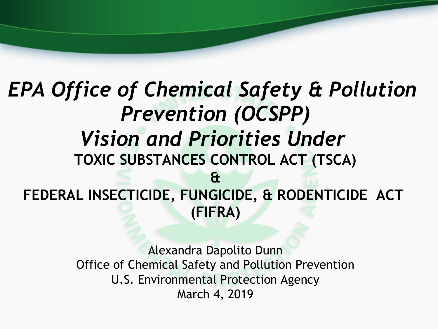### *EPA Office of Chemical Safety & Pollution Prevention (OCSPP) Vision and Priorities Under*  **TOXIC SUBSTANCES CONTROL ACT (TSCA) & FEDERAL INSECTICIDE, FUNGICIDE, & RODENTICIDE ACT (FIFRA)**

Alexandra Dapolito Dunn Office of Chemical Safety and Pollution Prevention U.S. Environmental Protection Agency March 4, 2019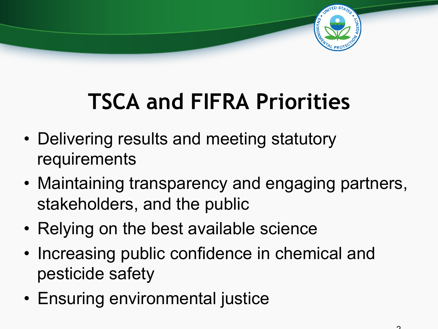

## **TSCA and FIFRA Priorities**

- Delivering results and meeting statutory requirements
- Maintaining transparency and engaging partners, stakeholders, and the public
- Relying on the best available science
- Increasing public confidence in chemical and pesticide safety
- Ensuring environmental justice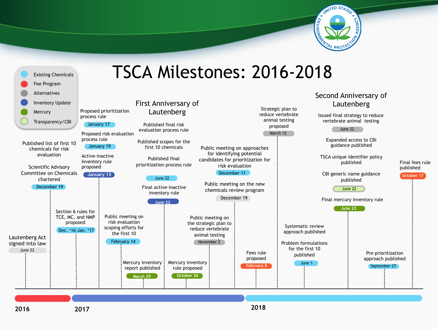



#### **2016 2017**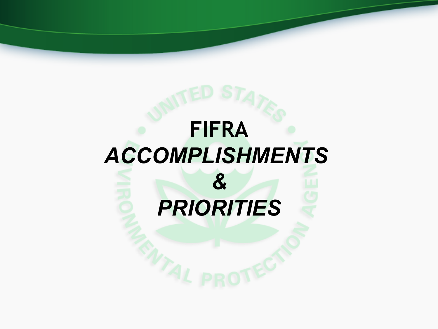# **FIFRA**  *ACCOMPLISHMENTS & PRIORITIES*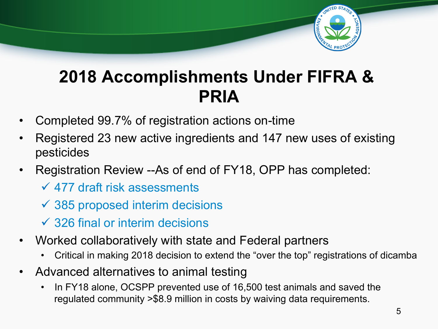

### **2018 Accomplishments Under FIFRA & PRIA**

- Completed 99.7% of registration actions on-time
- Registered 23 new active ingredients and 147 new uses of existing pesticides
- Registration Review --As of end of FY18, OPP has completed:
	- $\sqrt{477}$  draft risk assessments
	- $\checkmark$  385 proposed interim decisions
	- $\checkmark$  326 final or interim decisions
- Worked collaboratively with state and Federal partners
	- Critical in making 2018 decision to extend the "over the top" registrations of dicamba
- Advanced alternatives to animal testing
	- In FY18 alone, OCSPP prevented use of 16,500 test animals and saved the regulated community >\$8.9 million in costs by waiving data requirements.